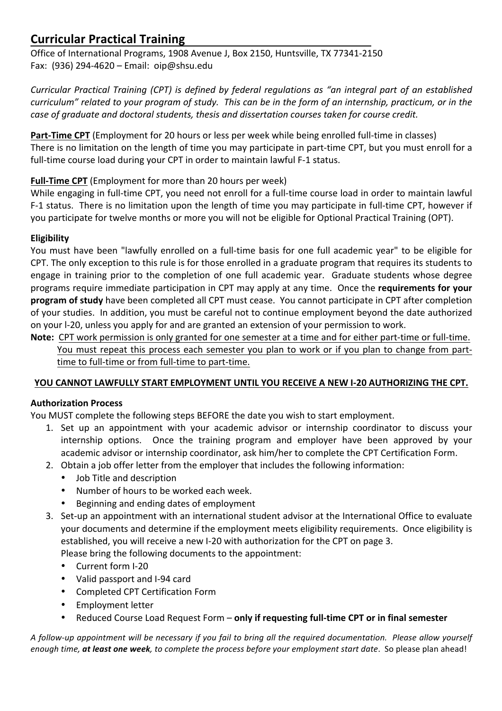# **Curricular Practical Training**

Office of International Programs, 1908 Avenue J, Box 2150, Huntsville, TX 77341-2150 Fax:  $(936)$  294-4620 – Email: oip@shsu.edu

*Curricular Practical Training (CPT) is defined by federal regulations as "an integral part of an established curriculum"* related to your program of study. This can be in the form of an internship, practicum, or in the *case of graduate and doctoral students, thesis and dissertation courses taken for course credit.*

**Part-Time CPT** (Employment for 20 hours or less per week while being enrolled full-time in classes) There is no limitation on the length of time you may participate in part-time CPT, but you must enroll for a full-time course load during your CPT in order to maintain lawful F-1 status.

## **Full-Time CPT** (Employment for more than 20 hours per week)

While engaging in full-time CPT, you need not enroll for a full-time course load in order to maintain lawful F-1 status. There is no limitation upon the length of time you may participate in full-time CPT, however if you participate for twelve months or more you will not be eligible for Optional Practical Training (OPT).

### **Eligibility**

You must have been "lawfully enrolled on a full-time basis for one full academic year" to be eligible for CPT. The only exception to this rule is for those enrolled in a graduate program that requires its students to engage in training prior to the completion of one full academic year. Graduate students whose degree programs require immediate participation in CPT may apply at any time. Once the **requirements for your program of study** have been completed all CPT must cease. You cannot participate in CPT after completion of your studies. In addition, you must be careful not to continue employment beyond the date authorized on your I-20, unless you apply for and are granted an extension of your permission to work.

**Note:** CPT work permission is only granted for one semester at a time and for either part-time or full-time. You must repeat this process each semester you plan to work or if you plan to change from parttime to full-time or from full-time to part-time.

# YOU CANNOT LAWFULLY START EMPLOYMENT UNTIL YOU RECEIVE A NEW I-20 AUTHORIZING THE CPT.

### **Authorization Process**

You MUST complete the following steps BEFORE the date you wish to start employment.

- 1. Set up an appointment with your academic advisor or internship coordinator to discuss your internship options. Once the training program and employer have been approved by your academic advisor or internship coordinator, ask him/her to complete the CPT Certification Form.
- 2. Obtain a job offer letter from the employer that includes the following information:
	- Job Title and description
	- Number of hours to be worked each week.
	- Beginning and ending dates of employment
- 3. Set-up an appointment with an international student advisor at the International Office to evaluate your documents and determine if the employment meets eligibility requirements. Once eligibility is established, you will receive a new I-20 with authorization for the CPT on page 3. Please bring the following documents to the appointment:
	- Current form I-20
	- Valid passport and I-94 card
	- Completed CPT Certification Form
	- Employment letter
	- Reduced Course Load Request Form only if requesting full-time CPT or in final semester

*A* follow-up appointment will be necessary if you fail to bring all the required documentation. Please allow yourself *enough time, at least one week, to complete the process before your employment start date. So please plan ahead!*